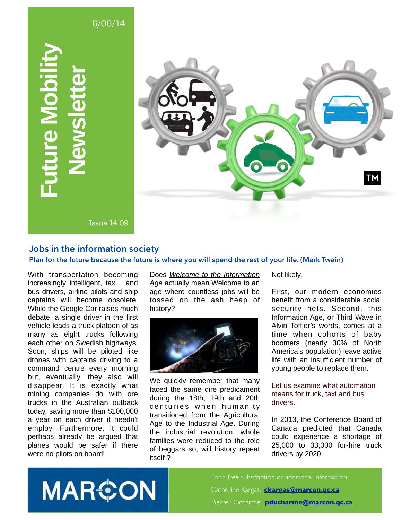

#### **Jobs in the information society**

#### **Plan for the future because the future is where you will spend the rest of your life. (Mark Twain)**

With transportation becoming increasingly intelligent, taxi and bus drivers, airline pilots and ship captains will become obsolete. While the Google Car raises much debate, a single driver in the first vehicle leads a truck platoon of as many as eight trucks following each other on Swedish highways. Soon, ships will be piloted like drones with captains driving to a command centre every morning but, eventually, they also will disappear. It is exactly what mining companies do with ore trucks in the Australian outback today, saving more than \$100,000 a year on each driver it needn't employ. Furthermore, it could perhaps already be argued that planes would be safer if there were no pilots on board!

Does *Welcome to the Information Age* actually mean Welcome to an age where countless jobs will be tossed on the ash heap of history?



We quickly remember that many faced the same dire predicament during the 18th, 19th and 20th centuries when humanity transitioned from the Agricultural Age to the Industrial Age. During the industrial revolution, whole families were reduced to the role of beggars so, will history repeat itself ?

Not likely.

First, our modern economies benefit from a considerable social security nets. Second, this Information Age, or Third Wave in Alvin Toffler's words, comes at a time when cohorts of baby boomers (nearly 30% of North America's population) leave active life with an insufficient number of young people to replace them.

#### Let us examine what automation means for truck, taxi and bus drivers.

In 2013, the Conference Board of Canada predicted that Canada could experience a shortage of 25,000 to 33,000 for-hire truck drivers by 2020.

**MAR&ON** 

For a free subscription or additional information: Catherine Kargas: **[ckargas@marcon.qc.ca](mailto:ckargas@marcon.qc.ca)** Pierre Ducharme: **[pducharme@marcon.qc.ca](mailto:pducharme@marcon.qc.ca)**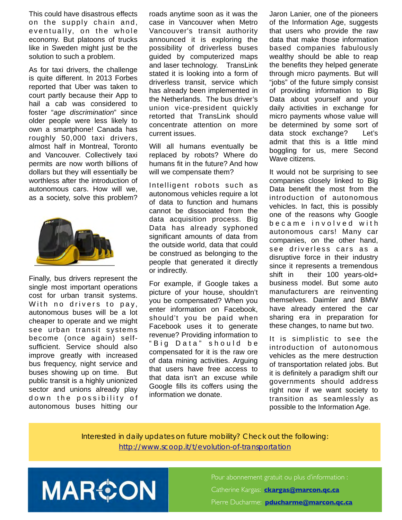This could have disastrous effects on the supply chain and,  $eventually, on the whole$ economy. But platoons of trucks like in Sweden might just be the solution to such a problem.

As for taxi drivers, the challenge is quite different. In 2013 Forbes reported that Uber was taken to court partly because their App to hail a cab was considered to foster "*age discrimination*" since older people were less likely to own a smartphone! Canada has roughly 50,000 taxi drivers, almost half in Montreal, Toronto and Vancouver. Collectively taxi permits are now worth billions of dollars but they will essentially be worthless after the introduction of autonomous cars. How will we, as a society, solve this problem?



Finally, bus drivers represent the single most important operations cost for urban transit systems. With no drivers to pay, autonomous buses will be a lot cheaper to operate and we might see urban transit systems become (once again) selfsufficient. Service should also improve greatly with increased bus frequency, night service and buses showing up on time. But public transit is a highly unionized sector and unions already play down the possibility of autonomous buses hitting our

roads anytime soon as it was the case in Vancouver when Metro Vancouver's transit authority announced it is exploring the possibility of driverless buses guided by computerized maps and laser technology. TransLink stated it is looking into a form of driverless transit, service which has already been implemented in the Netherlands. The bus driver's union vice-president quickly retorted that TransLink should concentrate attention on more current issues.

Will all humans eventually be replaced by robots? Where do humans fit in the future? And how will we compensate them?

Intelligent robots such as autonomous vehicles require a lot of data to function and humans cannot be dissociated from the data acquisition process. Big Data has already syphoned significant amounts of data from the outside world, data that could be construed as belonging to the people that generated it directly or indirectly.

For example, if Google takes a picture of your house, shouldn't you be compensated? When you enter information on Facebook, should't you be paid when Facebook uses it to generate revenue? Providing information to "Big Data" should be compensated for it is the raw ore of data mining activities. Arguing that users have free access to that data isn't an excuse while Google fills its coffers using the information we donate.

Jaron Lanier, one of the pioneers of the Information Age, suggests that users who provide the raw data that make those information based companies fabulously wealthy should be able to reap the benefits they helped generate through micro payments. But will "jobs" of the future simply consist of providing information to Big Data about yourself and your daily activities in exchange for micro payments whose value will be determined by some sort of data stock exchange? Let's admit that this is a little mind boggling for us, mere Second Wave citizens.

It would not be surprising to see companies closely linked to Big Data benefit the most from the introduction of autonomous vehicles. In fact, this is possibly one of the reasons why Google became involved with autonomous cars! Many car companies, on the other hand, see driverless cars as a disruptive force in their industry since it represents a tremendous shift in their 100 years-old+ business model. But some auto manufacturers are reinventing themselves. Daimler and BMW have already entered the car sharing era in preparation for these changes, to name but two.

It is simplistic to see the introduction of autonomous vehicles as the mere destruction of transportation related jobs. But it is definitely a paradigm shift our governments should address right now if we want society to transition as seamlessly as possible to the Information Age.

Interested in daily updates on future mobility? Check out the following: <http://www.scoop.it/t/evolution-of-transportation>



Pour abonnement gratuit ou plus d'information : Catherine Kargas: **[ckargas@marcon.qc.ca](mailto:ckargas@marcon.qc.ca)** Pierre Ducharme: **[pducharme@marcon.qc.ca](mailto:pducharme@marcon.qc.ca)**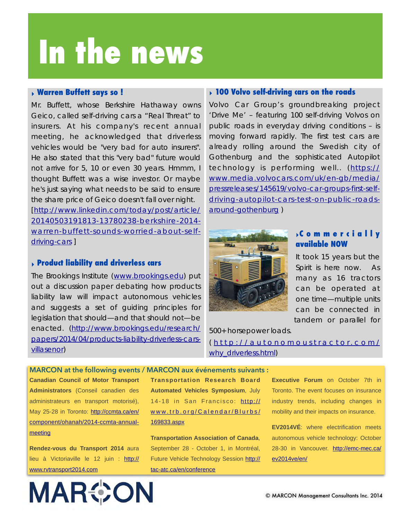# **In the news**

#### ‣ **Warren Buffett says so !**

Mr. Buffett, whose Berkshire Hathaway owns Geico, called self-driving cars a "*Real Threat*" to insurers. At his company's recent annual meeting, he acknowledged that driverless vehicles would be "very bad for auto insurers". He also stated that this "very bad" future would not arrive for 5, 10 or even 30 years. Hmmm, I thought Buffett was a wise investor. Or maybe he's just saying what needs to be said to ensure the share price of Geico doesn't fall over night. [http://www.linkedin.com/today/post/article/ [20140503191813-13780238-berkshire-2014](http://www.linkedin.com/today/post/article/20140503191813-13780238-berkshire-2014-warren-buffett-sounds-worried-about-self-driving-cars) warren-buffett-sounds-worried-about-selfdriving-cars ]

#### ‣ **Product liability and driverless cars**

The Brookings Institute [\(www.brookings.edu](http://www.brookings.edu)) put out a discussion paper debating how products liability law will impact autonomous vehicles and suggests a set of guiding principles for legislation that should—and that should not—be [enacted. \(http://www.brookings.edu/research/](http://www.brookings.edu/research/papers/2014/04/products-liability-driverless-cars-villasenor) papers/2014/04/products-liability-driverless-carsvillasenor)

#### ‣ **100 Volvo self-driving cars on the roads**

Volvo Car Group's groundbreaking project 'Drive Me' – featuring 100 self-driving Volvos on public roads in everyday driving conditions – is moving forward rapidly. The first test cars are already rolling around the Swedish city of Gothenburg and the sophisticated Autopilot [technology is performing well.. \(https://](https://www.media.volvocars.com/uk/en-gb/media/pressreleases/145619/volvo-car-groups-first-self-driving-autopilot-cars-test-on-public-roads-around-gothenburg) www.media.volvocars.com/uk/en-gb/media/ pressreleases/145619/volvo-car-groups-first-selfdriving-autopilot-cars-test-on-public-roadsaround-gothenburg )



#### ‣**C o m m e r c i a l l y available NOW**

It took 15 years but the Spirit is here now. As many as 16 tractors can be operated at one time—multiple units can be connected in tandem or parallel for

500+ horsepower loads. ( [http://autonomoustractor.com/](http://autonomoustractor.com/why_driverless.html) why\_driverless.html)

**Canadian Council of Motor Transport Administrators** (Conseil canadien des administrateurs en transport motorisé), [May 25-28 in Toronto: http://ccmta.ca/en/](http://ccmta.ca/en/component/ohanah/2014-ccmta-annual-meeting) component/ohanah/2014-ccmta-annualmeeting

**Rendez-vous du Transport 2014** aura [lieu à Victoriaville le 12 juin : http://](http://www.rvtransport2014.com) www.rvtransport2014.com

**MAR©ON** 

**MARCON at the following events / MARCON aux événements suivants : Transportation Research Board Automated Vehicles Symposium**, July [14-18 in San Francisco: http://](http://www.trb.org/Calendar/Blurbs/169833.aspx) www.trb.org/Calendar/Blurbs/

169833.aspx

**Transportation Association of Canada**, September 28 - October 1, in Montréal, [Future Vehicle Technology Session http://](http://tac-atc.ca/en/conference) tac-atc.ca/en/conference

**Executive Forum** on October 7th in Toronto. The event focuses on insurance industry trends, including changes in mobility and their impacts on insurance.

**EV2014VÉ**: where electrification meets autonomous vehicle technology: October [28-30 in Vancouver. http://emc-mec.ca/](http://emc-mec.ca/ev2014ve/en/) ev2014ve/en/